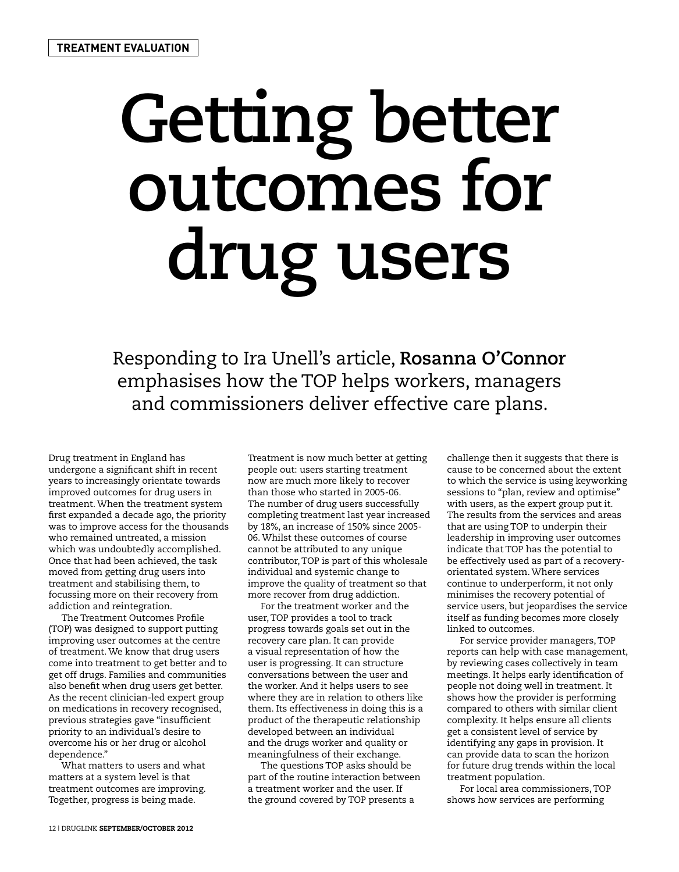## **Getting better outcomes for drug users**

Responding to Ira Unell's article, **Rosanna O'Connor** emphasises how the TOP helps workers, managers and commissioners deliver effective care plans.

Drug treatment in England has undergone a significant shift in recent years to increasingly orientate towards improved outcomes for drug users in treatment. When the treatment system first expanded a decade ago, the priority was to improve access for the thousands who remained untreated, a mission which was undoubtedly accomplished. Once that had been achieved, the task moved from getting drug users into treatment and stabilising them, to focussing more on their recovery from addiction and reintegration.

The Treatment Outcomes Profile (TOP) was designed to support putting improving user outcomes at the centre of treatment. We know that drug users come into treatment to get better and to get off drugs. Families and communities also benefit when drug users get better. As the recent clinician-led expert group on medications in recovery recognised, previous strategies gave "insufficient priority to an individual's desire to overcome his or her drug or alcohol dependence."

What matters to users and what matters at a system level is that treatment outcomes are improving. Together, progress is being made.

Treatment is now much better at getting people out: users starting treatment now are much more likely to recover than those who started in 2005-06. The number of drug users successfully completing treatment last year increased by 18%, an increase of 150% since 2005- 06. Whilst these outcomes of course cannot be attributed to any unique contributor, TOP is part of this wholesale individual and systemic change to improve the quality of treatment so that more recover from drug addiction.

For the treatment worker and the user, TOP provides a tool to track progress towards goals set out in the recovery care plan. It can provide a visual representation of how the user is progressing. It can structure conversations between the user and the worker. And it helps users to see where they are in relation to others like them. Its effectiveness in doing this is a product of the therapeutic relationship developed between an individual and the drugs worker and quality or meaningfulness of their exchange.

The questions TOP asks should be part of the routine interaction between a treatment worker and the user. If the ground covered by TOP presents a

challenge then it suggests that there is cause to be concerned about the extent to which the service is using keyworking sessions to "plan, review and optimise" with users, as the expert group put it. The results from the services and areas that are using TOP to underpin their leadership in improving user outcomes indicate that TOP has the potential to be effectively used as part of a recoveryorientated system. Where services continue to underperform, it not only minimises the recovery potential of service users, but jeopardises the service itself as funding becomes more closely linked to outcomes.

For service provider managers, TOP reports can help with case management, by reviewing cases collectively in team meetings. It helps early identification of people not doing well in treatment. It shows how the provider is performing compared to others with similar client complexity. It helps ensure all clients get a consistent level of service by identifying any gaps in provision. It can provide data to scan the horizon for future drug trends within the local treatment population.

For local area commissioners, TOP shows how services are performing